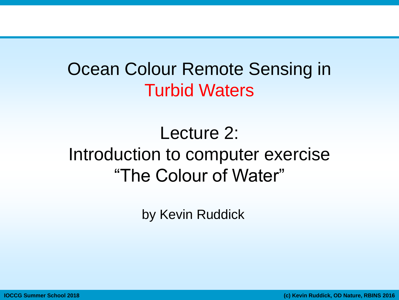## Ocean Colour Remote Sensing in Turbid Waters

# Lecture 2: Introduction to computer exercise "The Colour of Water"

by Kevin Ruddick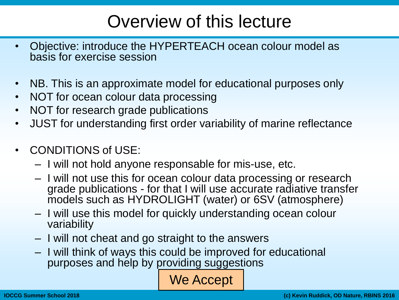# Overview of this lecture

- Objective: introduce the HYPERTEACH ocean colour model as basis for exercise session
- NB. This is an approximate model for educational purposes only
- NOT for ocean colour data processing
- NOT for research grade publications
- JUST for understanding first order variability of marine reflectance
- CONDITIONS of USE:
	- I will not hold anyone responsable for mis-use, etc.
	- I will not use this for ocean colour data processing or research grade publications - for that I will use accurate radiative transfer models such as HYDROLIGHT (water) or 6SV (atmosphere)
	- I will use this model for quickly understanding ocean colour variability
	- I will not cheat and go straight to the answers
	- I will think of ways this could be improved for educational purposes and help by providing suggestions

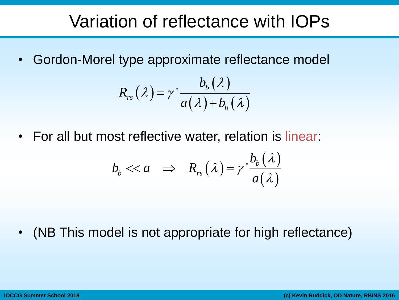#### Variation of reflectance with IOPs

• Gordon-Morel type approximate reflectance model

$$
R_{rs}(\lambda) = \gamma' \frac{b_b(\lambda)}{a(\lambda) + b_b(\lambda)}
$$

• For all but most reflective water, relation is linear:  
\n
$$
b_b \ll a \implies R_{rs}(\lambda) = \gamma \frac{b_b(\lambda)}{a(\lambda)}
$$

• (NB This model is not appropriate for high reflectance)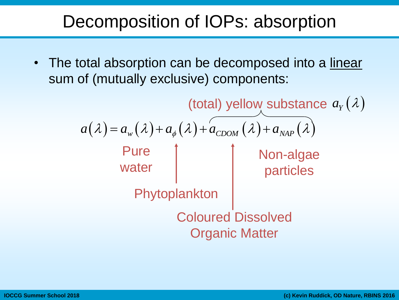#### Decomposition of IOPs: absorption

• The total absorption can be decomposed into a linear sum of (mutually exclusive) components:

> $a(\lambda) = a_{w}(\lambda) + a_{\phi}(\lambda) + a_{CDOM}(\lambda) + a_{NAP}(\lambda)$ Pure water Phytoplankton Coloured Dissolved Organic Matter Non-algae particles (total) yellow substance  $a_Y(\lambda)$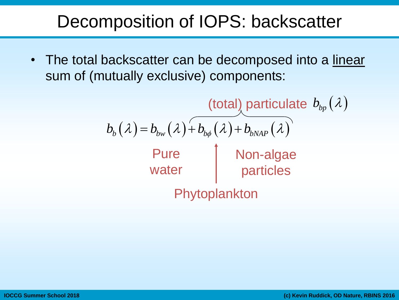#### Decomposition of IOPS: backscatter

• The total backscatter can be decomposed into a linear sum of (mutually exclusive) components:

> $b<sub>b</sub>(\lambda) = b<sub>bw</sub>(\lambda) + b<sub>bb</sub>(\lambda) + b<sub>bwAP</sub>(\lambda)$ Pure water Phytoplankton Non-algae particles (total) particulate  $b_{bp}(\lambda)$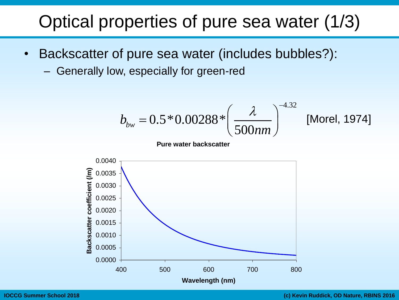### Optical properties of pure sea water (1/3)

- Backscatter of pure sea water (includes bubbles?):
	- Generally low, especially for green-red

v, especially for green-red  
\n
$$
b_{bw} = 0.5 * 0.00288 * \left(\frac{\lambda}{500nm}\right)^{-4.32}
$$
 [Morel, 1974]  
\nPure water backscatter

**Pure water backscatter**

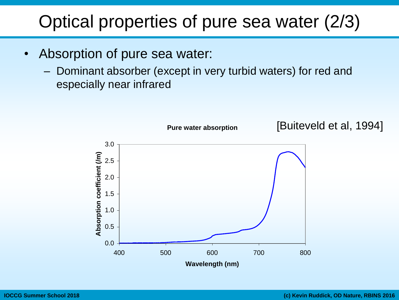# Optical properties of pure sea water (2/3)

- Absorption of pure sea water:
	- Dominant absorber (except in very turbid waters) for red and especially near infrared

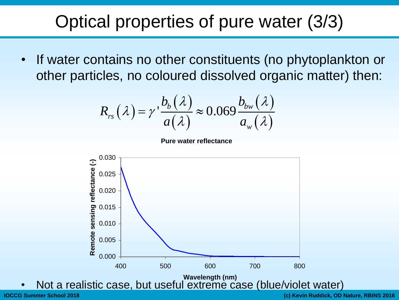## Optical properties of pure water (3/3)

If water contains no other constituents (no phytoplankton or ther constituents (no phyto)<br>loured dissolved organic map<br> $\frac{b_b(\lambda)}{d\lambda} \approx 0.069 \frac{b_{bw}(\lambda)}{d\lambda}$ 

other particles, no coloured dissolved organic matter) then:  
\n
$$
R_{rs}(\lambda) = \gamma \frac{b_b(\lambda)}{a(\lambda)} \approx 0.069 \frac{b_{bw}(\lambda)}{a_w(\lambda)}
$$

**Pure water reflectance**



Not a realistic case, but useful extreme case (blue/violet water)

**IOCCG Summer School 2018 (c) Kevin Ruddick, OD Nature, RBINS 2016**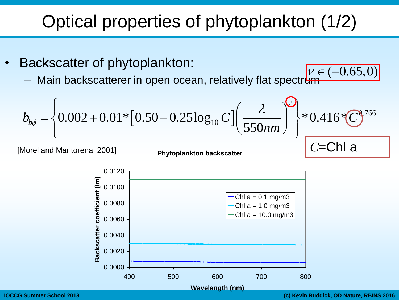- Backscatter of phytoplankton:
	- Main backscatterer in open ocean, relatively flat spectrum  $v \in (-0.65,0)$

| Optical properties of phytoplankton (1/2)                                                                                                            |                           |         |
|------------------------------------------------------------------------------------------------------------------------------------------------------|---------------------------|---------|
| Backscatter of phytoplankton:                                                                                                                        |                           |         |
| – Main backscatterer in open ocean, relatively flat spectrum                                                                                         |                           |         |
| $b_{b\phi} = \left\{ 0.002 + 0.01 * [0.50 - 0.25 \log_{10} C] \left( \frac{\lambda}{550nm} \right)^{\varphi} \right\} * 0.416 * \text{C}^{0.766}$ \n |                           |         |
| [Morel and Maritorena, 2001]                                                                                                                         | Phytoplankton backscatter | C=Chl a |

[Morel and Maritorena, 2001]

**Phytoplankton backscatter**



'=Chl a

0.0000 0.0020 0.0040 0.0060 0.0080 0.0100 0.0120 400 500 600 700 800  $\begin{array}{c|c|c}\n\hline\n\text{E} & 0.0100 \\
\text{E} & 0.0080\n\end{array}$ <br> **Backscatter coefficient** (0.0040<br> **Backscatter coefficient**<br> **Backscatter coefficient**<br> **Backscatter (100**<br> **Backscatter (100**<br> **Backscatter (100**<br> **Backscatter (100**<br>  $-$  Chl a = 0.1 mg/m3 Chl  $a = 1.0$  mg/m3 Chl  $a = 10.0$  mg/m3

**IOCCG Summer School 2018 (c) Kevin Ruddick, OD Nature, RBINS 2016**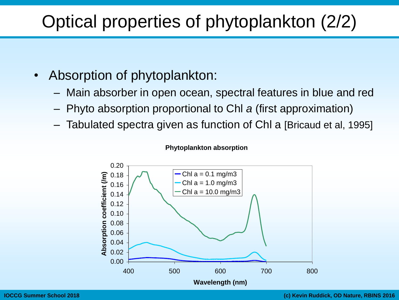# Optical properties of phytoplankton (2/2)

- Absorption of phytoplankton:
	- Main absorber in open ocean, spectral features in blue and red
	- Phyto absorption proportional to Chl *a* (first approximation)
	- Tabulated spectra given as function of Chl a [Bricaud et al, 1995]



#### **Phytoplankton absorption**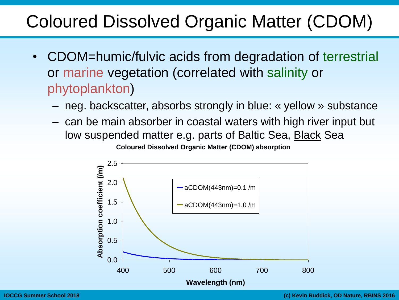### Coloured Dissolved Organic Matter (CDOM)

- CDOM=humic/fulvic acids from degradation of terrestrial or marine vegetation (correlated with salinity or phytoplankton)
	- neg. backscatter, absorbs strongly in blue: « yellow » substance
	- can be main absorber in coastal waters with high river input but low suspended matter e.g. parts of Baltic Sea, Black Sea **Coloured Dissolved Organic Matter (CDOM) absorption**

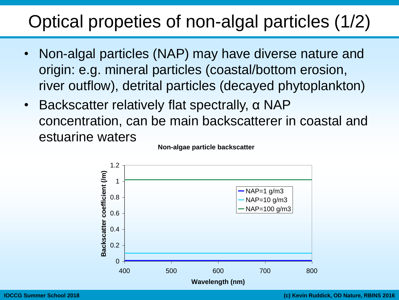# Optical propeties of non-algal particles (1/2)

- Non-algal particles (NAP) may have diverse nature and origin: e.g. mineral particles (coastal/bottom erosion, river outflow), detrital particles (decayed phytoplankton)
- Backscatter relatively flat spectrally, α NAP concentration, can be main backscatterer in coastal and estuarine waters



**Non-algae particle backscatter**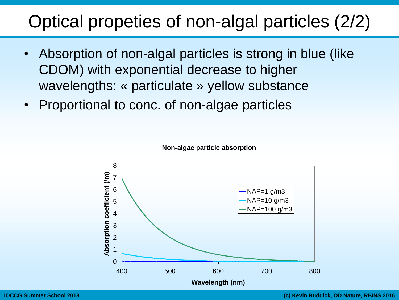#### Optical propeties of non-algal particles (2/2)

- Absorption of non-algal particles is strong in blue (like CDOM) with exponential decrease to higher wavelengths: « particulate » yellow substance
- Proportional to conc. of non-algae particles



**Non-algae particle absorption**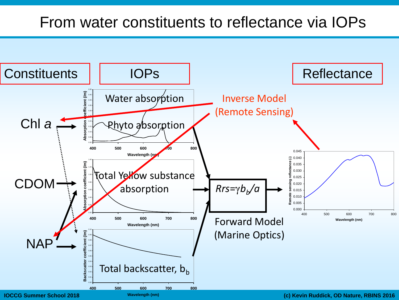#### From water constituents to reflectance via IOPs

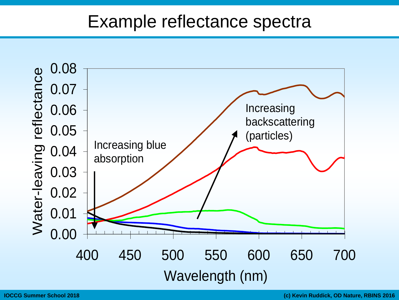#### Example reflectance spectra

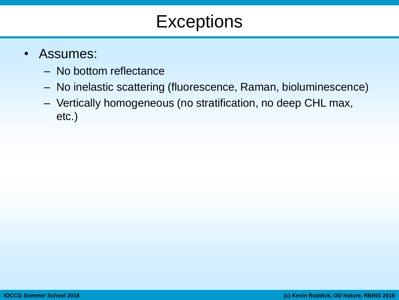#### **Exceptions**

- Assumes:
	- No bottom reflectance
	- No inelastic scattering (fluorescence, Raman, bioluminescence)
	- Vertically homogeneous (no stratification, no deep CHL max, etc.)